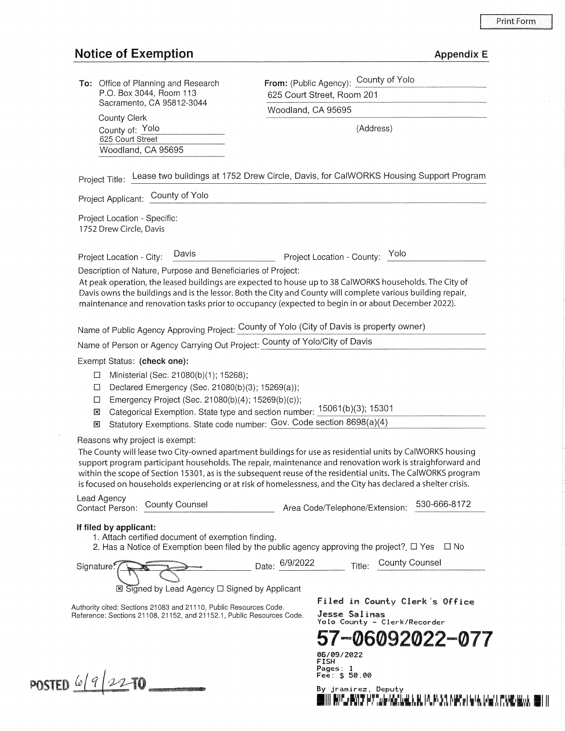## **Notice of Exemption**

|  |  | Appendix E |  |
|--|--|------------|--|
|--|--|------------|--|

| <b>To:</b> Office of Planning and Research |  |  |
|--------------------------------------------|--|--|
| P.O. Box 3044, Room 113                    |  |  |
| Sacramento, CA 95812-3044                  |  |  |

County Clerk County of: \_Y\_o\_lo \_\_\_\_\_ \_ (Address) 625 Court Street Woodland, CA 95695

From: (Public Agency): County of Yolo 625 Court Street, Room 201

Woodland, CA 95695

Project Title: Lease two buildings at 1752 Drew Circle, Davis, for CalWORKS Housing Support Program

Project Applicant: \_c\_o\_u\_n\_ty\_o\_f Y\_o\_lo \_\_\_\_\_\_\_\_\_\_\_\_\_\_\_\_\_\_\_\_\_\_\_\_\_ \_

Project Location - Specific: 1752 Drew Circle, Davis

Project Location - City: Davis Project Location - County: Yolo

Description of Nature, Purpose and Beneficiaries of Project:

At peak operation, the leased buildings are expected to house up to 38 CalWORKS households. The City of Davis owns the buildings and is the lessor. Both the City and County will complete various building repair, maintenance and renovation tasks prior to occupancy (expected to begin in or about December 2022).

Name of Public Agency Approving Project: County of Yolo (City of Davis is property owner)

Name of Person or Agency Carrying Out Project: County of Yolo/City of Davis

Exempt Status: (check one):

- $\Box$  Ministerial (Sec. 21080(b)(1); 15268);
- D Declared Emergency (Sec. 21080(b)(3); 15269(a));
- D Emergency Project (Sec. 21080(b)(4); 15269(b)(c));
- **E**I Categorical Exemption. State type and section number: 15061(b)(3); 15301
- IEI Statutory Exemptions. State code number: Gov. Code section 8698(a)(4)

Reasons why project is exempt:

The County will lease two City-owned apartment buildings for use as residential units by CalWORKS housing support program participant households. The repair, maintenance and renovation work is straighforward and within the scope of Section 15301, as is the subsequent reuse of the residential units. The CalWORKS program is focused on households experiencing or at risk of homelessness, and the City has declared a shelter crisis.

Lead Agency Contact Person: County Counsel Area Code/Telephone/Extension: 530-666-8172

## If filed by applicant:

- 1. Attach certified document of exemption finding.
- 2. Has a Notice of Exemption been filed by the public agency approving the project?  $\Box$  Yes  $\Box$  No

Date: 6/9/2022 Title: County Counsel Signature:

⊠ Signed by Lead Agency □ Signed by Applicant

Authority cited: Sections 21 083 and 21110, Public Resources Code. Reference: Sections 21108, 21152, and 21152.1, Public Resources Code. Filed in County Clerk's Office Jesse Salinas Yolo County - Clerk/Recorder

**57-06092022-077** 

11**1. And Pranch and Alask** 11. P. F. 14. P. 14. P. 17. P. 19. W.

06/09/2022 FISH Pages: Fee: \$ 50.00

By jramirez, Deputy

**POSTED**  $6/9/2270$